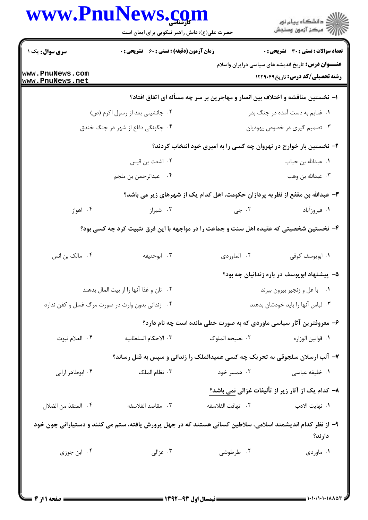|                                    | www.PnuNews.com<br>حضرت علی(ع): دانش راهبر نیکویی برای ایمان است                                          |                   | ِ<br>∭ دانشڪاه پيام نور<br>∭ مرڪز آزمون وسنڊش                                                         |
|------------------------------------|-----------------------------------------------------------------------------------------------------------|-------------------|-------------------------------------------------------------------------------------------------------|
| سری سوال: یک ۱                     | <b>زمان آزمون (دقیقه) : تستی : 60 ٪ تشریحی : 0</b>                                                        |                   | تعداد سوالات : تستى : 30 - تشريحي : 0                                                                 |
| www.PnuNews.com<br>www.PnuNews.net |                                                                                                           |                   | <b>عنـــوان درس:</b> تاریخ اندیشه های سیاسی درایران واسلام<br><b>رشته تحصیلی/کد درس:</b> تاریخ1۲۲۹۰۴۹ |
|                                    | ۱– نخستین مناقشه و اختلاف بین انصار و مهاجرین بر سر چه مسأله ای اتفاق افتاد؟                              |                   |                                                                                                       |
|                                    | ۰۲ جانشینی بعد از رسول اکرم (ص)                                                                           |                   | ۰۱ غنایم به دست آمده در جنگ بدر                                                                       |
|                                    | ۰۴ چگونگی دفاع از شهر در جنگ خندق                                                                         |                   | ۰۳ تصمیم گیری در خصوص یهودیان                                                                         |
|                                    |                                                                                                           |                   | ۲- نخستین بار خوارج در نهروان چه کسی را به امیری خود انتخاب کردند؟                                    |
|                                    | ۰۲ اشعث بن قیس                                                                                            |                   | ٠١. عبدالله بن حباب                                                                                   |
|                                    | ۰۴ عبدالرحمن بن ملجم                                                                                      |                   | ۰۳ عبدالله بن وهب                                                                                     |
|                                    | ۳- عبدالله بن مقفع از نظریه پردازان حکومت، اهل کدام یک از شهرهای زیر می باشد؟                             |                   |                                                                                                       |
| ۰۴ اهواز                           | ۰۳ شیراز                                                                                                  | ۰۲ جي             | ۰۱ فیروزآباد                                                                                          |
|                                    | ۴- نخستین شخصیتی که عقیده اهل سنت و جماعت را در مواجهه با این فرق تثبیت کرد چه کسی بود؟                   |                   |                                                                                                       |
| ۰۴ مالک بن انس                     | ۰۳ ابوحنيفه                                                                                               | ٢. الماوردي       | ٠١. ابويوسف كوفي                                                                                      |
|                                    |                                                                                                           |                   | ۵– پیشنهاد ابویوسف در باره زندانیان چه بود؟                                                           |
|                                    | ٠٢ نان و غذا آنها را از بيت المال بدهند                                                                   |                   | ٠١ با غل و زنجير بيرون ببرند                                                                          |
|                                    | ۰۴ زندانی بدون وارث در صورت مرگ غسل و کفن ندارد                                                           |                   | ۰۳ لباس آنها را باید خودشان بدهند                                                                     |
|                                    |                                                                                                           |                   | ۶– معروفترین آثار سیاسی ماوردی که به صورت خطی مانده است چه نام دارد؟                                  |
| ۰۴ العلام نبوت                     | ٠٣ الاحكام السلطانيه                                                                                      | ٠٢ نصيحه الملوك   | ٠١. قوانين الوزاره                                                                                    |
|                                    | ۷- آلب ارسلان سلجوقی به تحریک چه کسی عمیدالملک را زندانی و سپس به قتل رساند؟                              |                   |                                                                                                       |
| ۰۴ ابوطاهر ارانی                   | ۰۳ نظام الملک                                                                                             | ۰۲ همسر خود       | ۰۱ خلیفه عباسی                                                                                        |
|                                    |                                                                                                           |                   | ٨- كدام يك از آثار زير از تأليفات غزالي نمي باشد؟                                                     |
| ٠۴ المنقذ من الضلال                | ٠٣. مقاصد الفلاسفه                                                                                        | ٢. تهافت الفلاسفه | ۰۱ نهايت الادب                                                                                        |
|                                    | ۹– از نظر کدام اندیشمند اسلامی، سلاطین کسانی هستند که در جهل پرورش یافته، ستم می کنند و دستیارانی چون خود |                   | دارند؟                                                                                                |
| ۰۴ ابن جوزی                        | ۰۳ غزالی                                                                                                  | ۰۲ طرطوشی         | ۰۱ ماوردی                                                                                             |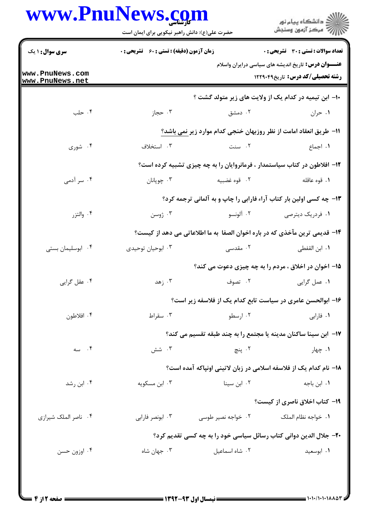## www.PnuNews.com

|                                    | حضرت علی(ع): دانش راهبر نیکویی برای ایمان است                   |                    | ڪ دانشڪاه پيام نور<br>پ <sup>ر</sup> مرڪز آزمون وسنڊش                                                 |  |
|------------------------------------|-----------------------------------------------------------------|--------------------|-------------------------------------------------------------------------------------------------------|--|
| <b>سری سوال : ۱ یک</b>             | <b>زمان آزمون (دقیقه) : تستی : 60 ٪ تشریحی : 0</b>              |                    | تعداد سوالات : تستى : 30 - تشريحي : 0                                                                 |  |
| www.PnuNews.com<br>www.PnuNews.net |                                                                 |                    | <b>عنـــوان درس:</b> تاریخ اندیشه های سیاسی درایران واسلام<br><b>رشته تحصیلی/کد درس:</b> تاریخ1۲۲۹۰۴۹ |  |
|                                    |                                                                 |                    | ۱۰– ابن تیمیه در کدام یک از ولایت های زیر متولد گشت ؟                                                 |  |
| ۰۴ حلب                             | ۰۳ حجاز                                                         | ۰۲ دمشق            | ۰۱ حران                                                                                               |  |
|                                    |                                                                 |                    | 11- طريق انعقاد امامت از نظر روزبهان خنجي كدام موارد زير <u>نمي باشد؟</u>                             |  |
| ۰۴ شوری                            | ۰۳ استخلاف                                                      | ۰۲ سنت             | ۰۱ اجماع                                                                                              |  |
|                                    |                                                                 |                    | ۱۲- افلاطون در کتاب سیاستمدار ، فرمانروایان را به چه چیزی تشبیه کرده است؟                             |  |
| ۰۴ سر آدمی                         | ۰۳ چوپانان                                                      | ۰۲ قوه غضبيه       | ٠١. قوه عاقله                                                                                         |  |
|                                    |                                                                 |                    | ۱۳- چه کسی اولین بار کتاب آراء فارابی را چاپ و به آلمانی ترجمه کرد؟                                   |  |
| ۰۴ والتزر                          | ۰۳ ژوسن                                                         | ۰۲ آلونسو          | <b>۱</b> . فردریک دیترصی                                                                              |  |
|                                    |                                                                 |                    | ۱۴- قدیمی ترین مآخذی که در باره اخوان الصفا به ما اطلاعاتی می دهد از کیست؟                            |  |
| ۰۴ ابوسلیمان بستی                  | ۰۳ ابوحیان توحیدی                                               | ۰۲ مقدسی           | ٠١ ابن القفطي                                                                                         |  |
|                                    |                                                                 |                    | ۱۵– اخوان در اخلاق ، مردم را به چه چیزی دعوت می کند؟                                                  |  |
| ۰۴ عقل گرايي                       | ۰۳ زهد                                                          | ۰۲ تصوف            | ٠١ عمل گرايي                                                                                          |  |
|                                    |                                                                 |                    | ۱۶- ابوالحسن عامری در سیاست تابع کدام یک از فلاسفه زیر است؟                                           |  |
| ۰۴ افلاطون                         | ۰۳ سقراط                                                        | ۰۲ ارسطو           | ٠١ فارابي                                                                                             |  |
|                                    | ۱۷– ابن سینا ساکنان مدینه یا مجتمع را به چند طبقه تقسیم می کند؟ |                    |                                                                                                       |  |
| ۰۴ سه                              | ۰۳ شش                                                           | ۲. پنچ             | ۰۱ چهار                                                                                               |  |
|                                    |                                                                 |                    | ۱۸– نام کدام یک از فلاسفه اسلامی در زبان لاتینی اونپاکه آمده است؟                                     |  |
| ۰۴ ابن رشد                         | ۰۳ ابن مسکویه                                                   | ۰۲ ابن سینا        | ۰۱ ابن باجه                                                                                           |  |
|                                    |                                                                 |                    | <b>۱۹- کتاب اخلاق ناصری از کیست؟</b>                                                                  |  |
| ۰۴ ناصر الملک شیرازی               | ۰۳ ابونصر فارابی                                                | ۰۲ خواجه نصیر طوسی | ٠١ خواجه نظام الملک                                                                                   |  |
|                                    |                                                                 |                    | ۲۰- جلال الدین دوانی کتاب رسائل سیاسی خود را به چه کسی تقدیم کرد؟                                     |  |
| ۰۴ اوزون حسن                       | ۰۳ جهان شاه                                                     | ٠٢ شاه اسماعيل     | ٠١ ابوسعيد                                                                                            |  |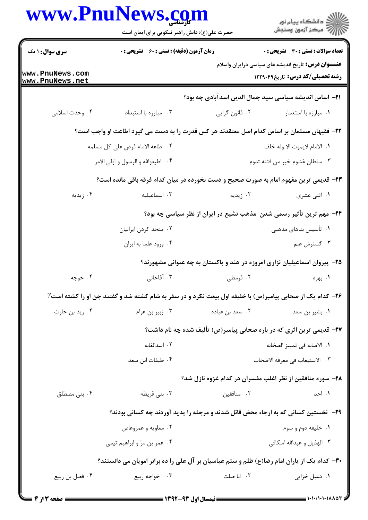|                                    | حضرت علی(ع): دانش راهبر نیکویی برای ایمان است                                                            |                                | ِ<br>∭ دانشڪاه پيام نور<br>∭ مرڪز آزمون وسنڊش                                                         |  |
|------------------------------------|----------------------------------------------------------------------------------------------------------|--------------------------------|-------------------------------------------------------------------------------------------------------|--|
| <b>سری سوال : ۱ یک</b>             | زمان آزمون (دقیقه) : تستی : 60 ٪ تشریحی : 0                                                              |                                | تعداد سوالات : تستي : 30 ٪ تشريحي : 0                                                                 |  |
| www.PnuNews.com<br>www.PnuNews.net |                                                                                                          |                                | <b>عنـــوان درس:</b> تاریخ اندیشه های سیاسی درایران واسلام<br><b>رشته تحصیلی/کد درس:</b> تاریخ1۲۲۹۰۴۹ |  |
|                                    |                                                                                                          |                                | <b>۲۱</b> – اساس اندیشه سیاسی سید جمال الدین اسدآبادی چه بود؟                                         |  |
| ۰۴ وحدت اسلامی                     | ۰۳ مبارزه با استبداد                                                                                     | ۰۲ قانون گرايي                 | ۰۱ مبارزه با استعمار                                                                                  |  |
|                                    | ۲۲– فقیهان مسلمان بر اساس کدام اصل معتقدند هر کس قدرت را به دست می گیرد اطاعت او واجب است؟               |                                |                                                                                                       |  |
|                                    | ٠٢ طاعه الامام فرض على كل مسلمه                                                                          |                                | ٠١. الامام لايموت الا وله خلف                                                                         |  |
| ۰۴ اطیعوالله و الرسول و اولی الامر |                                                                                                          | ۰۳ سلطان غشوم خير من فتنه تدوم |                                                                                                       |  |
|                                    | ۲۳- قدیمی ترین مفهوم امام به صورت صحیح و دست نخورده در میان کدام فرقه باقی مانده است؟                    |                                |                                                                                                       |  |
| ۰۴ زیدیه                           | ۰۳ اسماعیلیه                                                                                             | ۰۲ زیدیه                       | ۰۱ اثنی عشری                                                                                          |  |
|                                    |                                                                                                          |                                | ۲۴- مهم ترین تأثیر رسمی شدن ًمذهب تشیع در ایران از نظر سیاسی چه بود؟                                  |  |
|                                    | ۰۲ متحد کردن ایرانیان                                                                                    |                                | ۰۱ تأسیس بناهای مذهبی                                                                                 |  |
|                                    | ۰۴ ورود علما به ايران                                                                                    |                                | ۰۳ گسترش علم                                                                                          |  |
|                                    |                                                                                                          |                                | ۲۵– پیروان اسماعیلیان نزاری امروزه در هند و پاکستان به چه عنوانی مشهورند؟                             |  |
| ۰۴ خوجه                            | ۰۳ آقاخانی                                                                                               | ۰۲ قرمطی                       | ۰۱ بهره                                                                                               |  |
|                                    | ۲۶- کدام یک از صحابی پیامبر(ص) با خلیفه اول بیعت نکرد و در سفر به شام کشته شد و گفتند جن او را کشته است? |                                |                                                                                                       |  |
| ۰۴ زید بن حارث                     | ۰۳ زبیر بن عوام                                                                                          | ۰۲ سعد بن عباده                | ۰۱ بشیر بن سعد                                                                                        |  |
|                                    | <b>۲۷-</b> قدیمی ترین اثری که در باره صحابی پیامبر(ص) تألیف شده چه نام داشت؟                             |                                |                                                                                                       |  |
|                                    | ٠٢ اسدالغابه                                                                                             | ٠١. الاصابه في تمييز الصخابه   |                                                                                                       |  |
|                                    | ۰۴ طبقات ابن سعد                                                                                         | ٠٣ الاستيعاب في معرفه الاصحاب  |                                                                                                       |  |
|                                    |                                                                                                          |                                | ۲۸- سوره منافقین از نظر اغلب مفسران در کدام غزوه نازل شد؟                                             |  |
| ۰۴ بنی مصطلق                       | ۰۳ بنی قریظه                                                                                             | ۰۲ منافقین                     | ۰۱ احد                                                                                                |  |
|                                    | ۲۹-۔ نخستین کسانی که به ارجاء محض قائل شدند و مرجئه را پدید آوردند چه کسانی بودند؟                       |                                |                                                                                                       |  |
|                                    | ۰۲ معاویه و عمروعاص                                                                                      |                                | ۰۱ خليفه دوم و سوم                                                                                    |  |
|                                    | ۰۴ عمر بن مرّ و ابراهیم تیمی                                                                             |                                | ۰۳ الهذيل و عبدالله اسكافي                                                                            |  |
|                                    | ۳۰– کدام یک از یاران امام رضا(ع) ظلم و ستم عباسیان بر آل علی را ده برابر امویان می دانستند؟              |                                |                                                                                                       |  |
| ۰۴ فضل بن ربيع                     | ۰۳ خواجه ربيع                                                                                            | ۰۲ ابا صلت                     | ۰۱ دعبل خزایی                                                                                         |  |